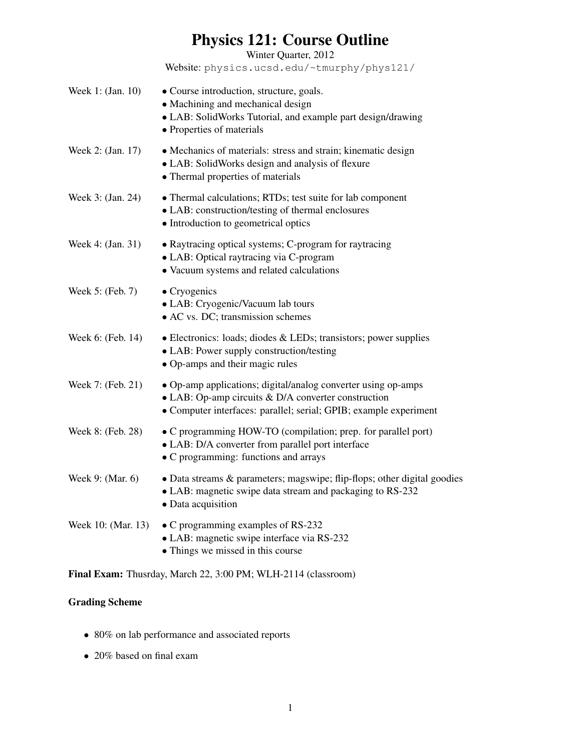# Physics 121: Course Outline

Winter Quarter, 2012

Website: physics.ucsd.edu/~tmurphy/phys121/

| Week 1: (Jan. 10)  | • Course introduction, structure, goals.<br>• Machining and mechanical design<br>• LAB: SolidWorks Tutorial, and example part design/drawing<br>• Properties of materials                         |
|--------------------|---------------------------------------------------------------------------------------------------------------------------------------------------------------------------------------------------|
| Week 2: (Jan. 17)  | • Mechanics of materials: stress and strain; kinematic design<br>• LAB: SolidWorks design and analysis of flexure<br>• Thermal properties of materials                                            |
| Week 3: (Jan. 24)  | • Thermal calculations; RTDs; test suite for lab component<br>• LAB: construction/testing of thermal enclosures<br>• Introduction to geometrical optics                                           |
| Week 4: (Jan. 31)  | • Raytracing optical systems; C-program for raytracing<br>• LAB: Optical raytracing via C-program<br>• Vacuum systems and related calculations                                                    |
| Week 5: (Feb. 7)   | $\bullet$ Cryogenics<br>• LAB: Cryogenic/Vacuum lab tours<br>• AC vs. DC; transmission schemes                                                                                                    |
| Week 6: (Feb. 14)  | $\bullet$ Electronics: loads; diodes & LEDs; transistors; power supplies<br>• LAB: Power supply construction/testing<br>• Op-amps and their magic rules                                           |
| Week 7: (Feb. 21)  | • Op-amp applications; digital/analog converter using op-amps<br>$\bullet$ LAB: Op-amp circuits & D/A converter construction<br>• Computer interfaces: parallel; serial; GPIB; example experiment |
| Week 8: (Feb. 28)  | • C programming HOW-TO (compilation; prep. for parallel port)<br>• LAB: D/A converter from parallel port interface<br>• C programming: functions and arrays                                       |
| Week 9: (Mar. 6)   | • Data streams & parameters; magswipe; flip-flops; other digital goodies<br>• LAB: magnetic swipe data stream and packaging to RS-232<br>· Data acquisition                                       |
| Week 10: (Mar. 13) | • C programming examples of RS-232<br>• LAB: magnetic swipe interface via RS-232<br>• Things we missed in this course                                                                             |

Final Exam: Thusrday, March 22, 3:00 PM; WLH-2114 (classroom)

## Grading Scheme

- 80% on lab performance and associated reports
- 20% based on final exam